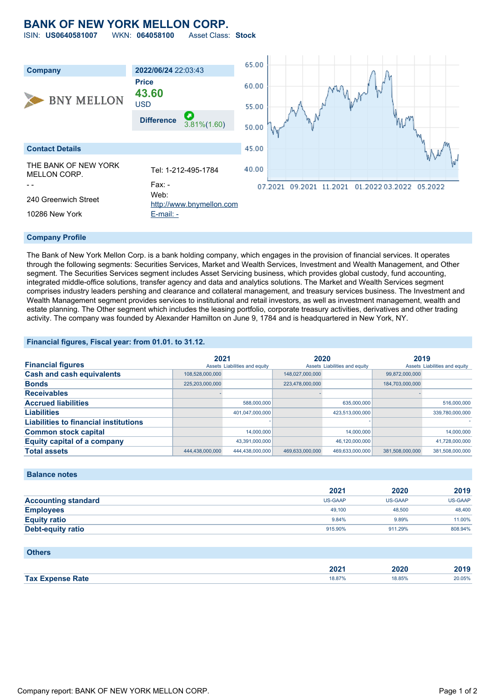## **BANK OF NEW YORK MELLON CORP.**

ISIN: **US0640581007** WKN: **064058100** Asset Class: **Stock**



#### **Company Profile**

The Bank of New York Mellon Corp. is a bank holding company, which engages in the provision of financial services. It operates through the following segments: Securities Services, Market and Wealth Services, Investment and Wealth Management, and Other segment. The Securities Services segment includes Asset Servicing business, which provides global custody, fund accounting, integrated middle-office solutions, transfer agency and data and analytics solutions. The Market and Wealth Services segment comprises industry leaders pershing and clearance and collateral management, and treasury services business. The Investment and Wealth Management segment provides services to institutional and retail investors, as well as investment management, wealth and estate planning. The Other segment which includes the leasing portfolio, corporate treasury activities, derivatives and other trading activity. The company was founded by Alexander Hamilton on June 9, 1784 and is headquartered in New York, NY.

### **Financial figures, Fiscal year: from 01.01. to 31.12.**

|                                              | 2021            |                               | 2020            |                               | 2019            |                               |
|----------------------------------------------|-----------------|-------------------------------|-----------------|-------------------------------|-----------------|-------------------------------|
| <b>Financial figures</b>                     |                 | Assets Liabilities and equity |                 | Assets Liabilities and equity |                 | Assets Liabilities and equity |
| <b>Cash and cash equivalents</b>             | 108.528.000.000 |                               | 148,027,000,000 |                               | 99.872.000.000  |                               |
| <b>Bonds</b>                                 | 225,203,000,000 |                               | 223,478,000,000 |                               | 184,703,000,000 |                               |
| <b>Receivables</b>                           |                 |                               |                 |                               |                 |                               |
| <b>Accrued liabilities</b>                   |                 | 588,000,000                   |                 | 635,000,000                   |                 | 516,000,000                   |
| <b>Liabilities</b>                           |                 | 401,047,000,000               |                 | 423,513,000,000               |                 | 339,780,000,000               |
| <b>Liabilities to financial institutions</b> |                 |                               |                 |                               |                 |                               |
| <b>Common stock capital</b>                  |                 | 14.000.000                    |                 | 14,000,000                    |                 | 14,000,000                    |
| <b>Equity capital of a company</b>           |                 | 43.391.000.000                |                 | 46.120.000.000                |                 | 41,728,000,000                |
| <b>Total assets</b>                          | 444,438,000,000 | 444.438.000.000               | 469.633.000.000 | 469.633.000.000               | 381.508.000.000 | 381.508.000.000               |

#### **Balance notes**

|                            | 2021    | 2020           | 2019    |
|----------------------------|---------|----------------|---------|
| <b>Accounting standard</b> | US-GAAP | <b>US-GAAP</b> | US-GAAP |
| <b>Employees</b>           | 49.100  | 48,500         | 48,400  |
| <b>Equity ratio</b>        | 9.84%   | 9.89%          | 11.00%  |
| Debt-equity ratio          | 915.90% | 911.29%        | 808.94% |

#### **Others**

|                         | າດາ<br>LUZ | 2020   | $\sim$ 4 $\sim$ |
|-------------------------|------------|--------|-----------------|
| <b>Tax Expense Rate</b> | 18.87%     | 18.85% | 20.05%          |